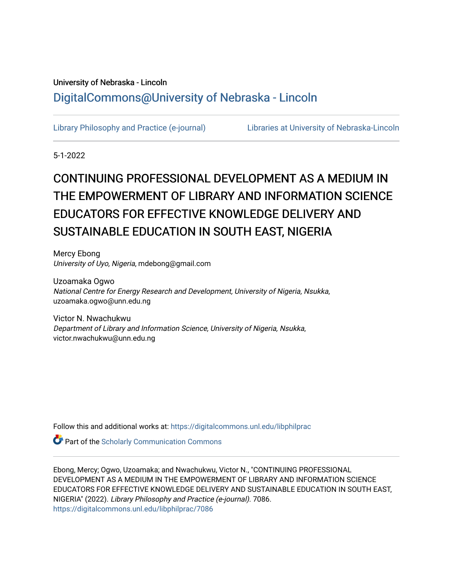# University of Nebraska - Lincoln [DigitalCommons@University of Nebraska - Lincoln](https://digitalcommons.unl.edu/)

[Library Philosophy and Practice \(e-journal\)](https://digitalcommons.unl.edu/libphilprac) [Libraries at University of Nebraska-Lincoln](https://digitalcommons.unl.edu/libraries) 

5-1-2022

# CONTINUING PROFESSIONAL DEVELOPMENT AS A MEDIUM IN THE EMPOWERMENT OF LIBRARY AND INFORMATION SCIENCE EDUCATORS FOR EFFECTIVE KNOWLEDGE DELIVERY AND SUSTAINABLE EDUCATION IN SOUTH EAST, NIGERIA

Mercy Ebong University of Uyo, Nigeria, mdebong@gmail.com

Uzoamaka Ogwo National Centre for Energy Research and Development, University of Nigeria, Nsukka, uzoamaka.ogwo@unn.edu.ng

Victor N. Nwachukwu Department of Library and Information Science, University of Nigeria, Nsukka, victor.nwachukwu@unn.edu.ng

Follow this and additional works at: [https://digitalcommons.unl.edu/libphilprac](https://digitalcommons.unl.edu/libphilprac?utm_source=digitalcommons.unl.edu%2Flibphilprac%2F7086&utm_medium=PDF&utm_campaign=PDFCoverPages) 

**Part of the Scholarly Communication Commons** 

Ebong, Mercy; Ogwo, Uzoamaka; and Nwachukwu, Victor N., "CONTINUING PROFESSIONAL DEVELOPMENT AS A MEDIUM IN THE EMPOWERMENT OF LIBRARY AND INFORMATION SCIENCE EDUCATORS FOR EFFECTIVE KNOWLEDGE DELIVERY AND SUSTAINABLE EDUCATION IN SOUTH EAST, NIGERIA" (2022). Library Philosophy and Practice (e-journal). 7086. [https://digitalcommons.unl.edu/libphilprac/7086](https://digitalcommons.unl.edu/libphilprac/7086?utm_source=digitalcommons.unl.edu%2Flibphilprac%2F7086&utm_medium=PDF&utm_campaign=PDFCoverPages)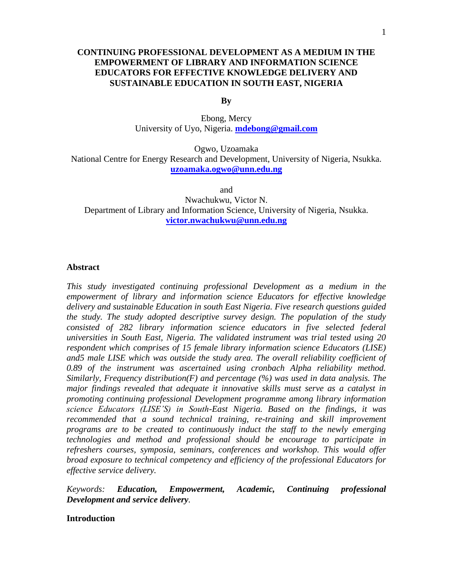# **CONTINUING PROFESSIONAL DEVELOPMENT AS A MEDIUM IN THE EMPOWERMENT OF LIBRARY AND INFORMATION SCIENCE EDUCATORS FOR EFFECTIVE KNOWLEDGE DELIVERY AND SUSTAINABLE EDUCATION IN SOUTH EAST, NIGERIA**

**By**

Ebong, Mercy University of Uyo, Nigeria. **[mdebong@gmail.com](mailto:mdebong@gmail.com)**

Ogwo, Uzoamaka National Centre for Energy Research and Development, University of Nigeria, Nsukka. **[uzoamaka.ogwo@unn.edu.ng](mailto:uzoamaka.ogwo@unn.edu.ng)**

and

Nwachukwu, Victor N. Department of Library and Information Science, University of Nigeria, Nsukka. **[victor.nwachukwu@unn.edu.ng](mailto:victor.nwachukwu@unn.edu.ng)**

#### **Abstract**

*This study investigated continuing professional Development as a medium in the empowerment of library and information science Educators for effective knowledge delivery and sustainable Education in south East Nigeria. Five research questions guided the study. The study adopted descriptive survey design. The population of the study consisted of 282 library information science educators in five selected federal universities in South East, Nigeria. The validated instrument was trial tested using 20 respondent which comprises of 15 female library information science Educators (LISE) and5 male LISE which was outside the study area. The overall reliability coefficient of 0.89 of the instrument was ascertained using cronbach Alpha reliability method. Similarly, Frequency distribution(F) and percentage (%) was used in data analysis. The major findings revealed that adequate it innovative skills must serve as a catalyst in promoting continuing professional Development programme among library information science Educators (LISE'S) in South-East Nigeria. Based on the findings, it was recommended that a sound technical training, re-training and skill improvement programs are to be created to continuously induct the staff to the newly emerging technologies and method and professional should be encourage to participate in refreshers courses, symposia, seminars, conferences and workshop. This would offer broad exposure to technical competency and efficiency of the professional Educators for effective service delivery.* 

*Keywords: Education, Empowerment, Academic, Continuing professional Development and service delivery.* 

# **Introduction**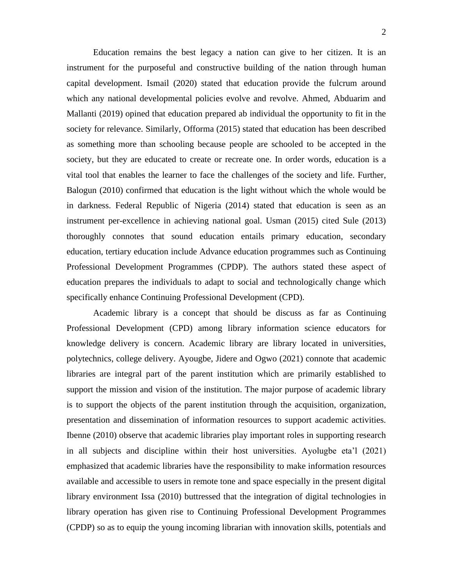Education remains the best legacy a nation can give to her citizen. It is an instrument for the purposeful and constructive building of the nation through human capital development. Ismail (2020) stated that education provide the fulcrum around which any national developmental policies evolve and revolve. Ahmed, Abduarim and Mallanti (2019) opined that education prepared ab individual the opportunity to fit in the society for relevance. Similarly, Offorma (2015) stated that education has been described as something more than schooling because people are schooled to be accepted in the society, but they are educated to create or recreate one. In order words, education is a vital tool that enables the learner to face the challenges of the society and life. Further, Balogun (2010) confirmed that education is the light without which the whole would be in darkness. Federal Republic of Nigeria (2014) stated that education is seen as an instrument per-excellence in achieving national goal. Usman (2015) cited Sule (2013) thoroughly connotes that sound education entails primary education, secondary education, tertiary education include Advance education programmes such as Continuing Professional Development Programmes (CPDP). The authors stated these aspect of education prepares the individuals to adapt to social and technologically change which specifically enhance Continuing Professional Development (CPD).

Academic library is a concept that should be discuss as far as Continuing Professional Development (CPD) among library information science educators for knowledge delivery is concern. Academic library are library located in universities, polytechnics, college delivery. Ayougbe, Jidere and Ogwo (2021) connote that academic libraries are integral part of the parent institution which are primarily established to support the mission and vision of the institution. The major purpose of academic library is to support the objects of the parent institution through the acquisition, organization, presentation and dissemination of information resources to support academic activities. Ibenne (2010) observe that academic libraries play important roles in supporting research in all subjects and discipline within their host universities. Ayolugbe eta'l (2021) emphasized that academic libraries have the responsibility to make information resources available and accessible to users in remote tone and space especially in the present digital library environment Issa (2010) buttressed that the integration of digital technologies in library operation has given rise to Continuing Professional Development Programmes (CPDP) so as to equip the young incoming librarian with innovation skills, potentials and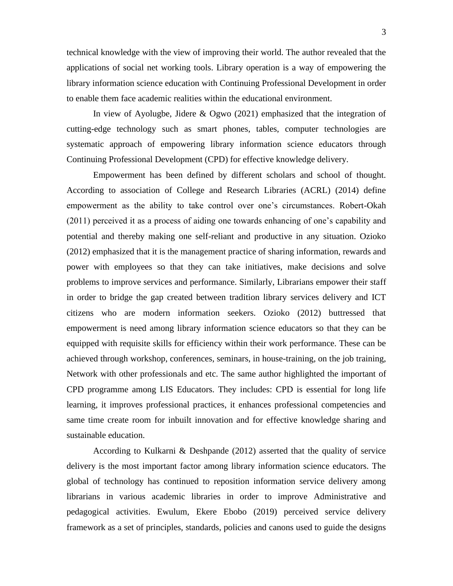technical knowledge with the view of improving their world. The author revealed that the applications of social net working tools. Library operation is a way of empowering the library information science education with Continuing Professional Development in order to enable them face academic realities within the educational environment.

In view of Ayolugbe, Jidere & Ogwo (2021) emphasized that the integration of cutting-edge technology such as smart phones, tables, computer technologies are systematic approach of empowering library information science educators through Continuing Professional Development (CPD) for effective knowledge delivery.

Empowerment has been defined by different scholars and school of thought. According to association of College and Research Libraries (ACRL) (2014) define empowerment as the ability to take control over one's circumstances. Robert-Okah (2011) perceived it as a process of aiding one towards enhancing of one's capability and potential and thereby making one self-reliant and productive in any situation. Ozioko (2012) emphasized that it is the management practice of sharing information, rewards and power with employees so that they can take initiatives, make decisions and solve problems to improve services and performance. Similarly, Librarians empower their staff in order to bridge the gap created between tradition library services delivery and ICT citizens who are modern information seekers. Ozioko (2012) buttressed that empowerment is need among library information science educators so that they can be equipped with requisite skills for efficiency within their work performance. These can be achieved through workshop, conferences, seminars, in house-training, on the job training, Network with other professionals and etc. The same author highlighted the important of CPD programme among LIS Educators. They includes: CPD is essential for long life learning, it improves professional practices, it enhances professional competencies and same time create room for inbuilt innovation and for effective knowledge sharing and sustainable education.

According to Kulkarni & Deshpande (2012) asserted that the quality of service delivery is the most important factor among library information science educators. The global of technology has continued to reposition information service delivery among librarians in various academic libraries in order to improve Administrative and pedagogical activities. Ewulum, Ekere Ebobo (2019) perceived service delivery framework as a set of principles, standards, policies and canons used to guide the designs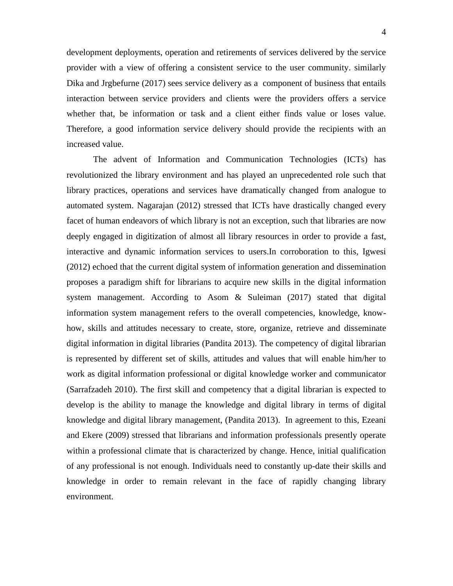development deployments, operation and retirements of services delivered by the service provider with a view of offering a consistent service to the user community. similarly Dika and Jrgbefurne (2017) sees service delivery as a component of business that entails interaction between service providers and clients were the providers offers a service whether that, be information or task and a client either finds value or loses value. Therefore, a good information service delivery should provide the recipients with an increased value.

The advent of Information and Communication Technologies (ICTs) has revolutionized the library environment and has played an unprecedented role such that library practices, operations and services have dramatically changed from analogue to automated system. Nagarajan (2012) stressed that ICTs have drastically changed every facet of human endeavors of which library is not an exception, such that libraries are now deeply engaged in digitization of almost all library resources in order to provide a fast, interactive and dynamic information services to users.In corroboration to this, Igwesi (2012) echoed that the current digital system of information generation and dissemination proposes a paradigm shift for librarians to acquire new skills in the digital information system management. According to Asom & Suleiman (2017) stated that digital information system management refers to the overall competencies, knowledge, knowhow, skills and attitudes necessary to create, store, organize, retrieve and disseminate digital information in digital libraries (Pandita 2013). The competency of digital librarian is represented by different set of skills, attitudes and values that will enable him/her to work as digital information professional or digital knowledge worker and communicator (Sarrafzadeh 2010). The first skill and competency that a digital librarian is expected to develop is the ability to manage the knowledge and digital library in terms of digital knowledge and digital library management, (Pandita 2013). In agreement to this, Ezeani and Ekere (2009) stressed that librarians and information professionals presently operate within a professional climate that is characterized by change. Hence, initial qualification of any professional is not enough. Individuals need to constantly up-date their skills and knowledge in order to remain relevant in the face of rapidly changing library environment.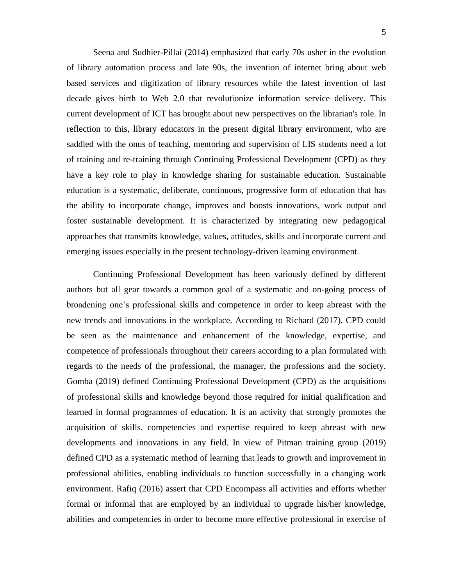Seena and Sudhier-Pillai (2014) emphasized that early 70s usher in the evolution of library automation process and late 90s, the invention of internet bring about web based services and digitization of library resources while the latest invention of last decade gives birth to Web 2.0 that revolutionize information service delivery. This current development of ICT has brought about new perspectives on the librarian's role. In reflection to this, library educators in the present digital library environment, who are saddled with the onus of teaching, mentoring and supervision of LIS students need a lot of training and re-training through Continuing Professional Development (CPD) as they have a key role to play in knowledge sharing for sustainable education. Sustainable education is a systematic, deliberate, continuous, progressive form of education that has the ability to incorporate change, improves and boosts innovations, work output and foster sustainable development. It is characterized by integrating new pedagogical approaches that transmits knowledge, values, attitudes, skills and incorporate current and emerging issues especially in the present technology-driven learning environment.

Continuing Professional Development has been variously defined by different authors but all gear towards a common goal of a systematic and on-going process of broadening one's professional skills and competence in order to keep abreast with the new trends and innovations in the workplace. According to Richard (2017), CPD could be seen as the maintenance and enhancement of the knowledge, expertise, and competence of professionals throughout their careers according to a plan formulated with regards to the needs of the professional, the manager, the professions and the society. Gomba (2019) defined Continuing Professional Development (CPD) as the acquisitions of professional skills and knowledge beyond those required for initial qualification and learned in formal programmes of education. It is an activity that strongly promotes the acquisition of skills, competencies and expertise required to keep abreast with new developments and innovations in any field. In view of Pitman training group (2019) defined CPD as a systematic method of learning that leads to growth and improvement in professional abilities, enabling individuals to function successfully in a changing work environment. Rafiq (2016) assert that CPD Encompass all activities and efforts whether formal or informal that are employed by an individual to upgrade his/her knowledge, abilities and competencies in order to become more effective professional in exercise of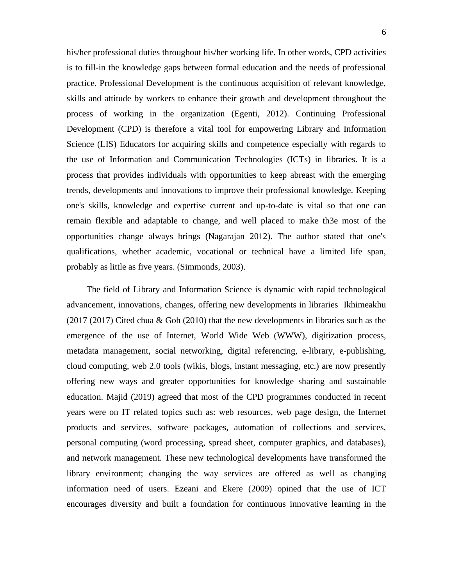his/her professional duties throughout his/her working life. In other words, CPD activities is to fill-in the knowledge gaps between formal education and the needs of professional practice. Professional Development is the continuous acquisition of relevant knowledge, skills and attitude by workers to enhance their growth and development throughout the process of working in the organization (Egenti, 2012). Continuing Professional Development (CPD) is therefore a vital tool for empowering Library and Information Science (LIS) Educators for acquiring skills and competence especially with regards to the use of Information and Communication Technologies (ICTs) in libraries. It is a process that provides individuals with opportunities to keep abreast with the emerging trends, developments and innovations to improve their professional knowledge. Keeping one's skills, knowledge and expertise current and up-to-date is vital so that one can remain flexible and adaptable to change, and well placed to make th3e most of the opportunities change always brings (Nagarajan 2012). The author stated that one's qualifications, whether academic, vocational or technical have a limited life span, probably as little as five years. (Simmonds, 2003).

The field of Library and Information Science is dynamic with rapid technological advancement, innovations, changes, offering new developments in libraries Ikhimeakhu  $(2017 \ (2017)$  Cited chua & Goh  $(2010)$  that the new developments in libraries such as the emergence of the use of Internet, World Wide Web (WWW), digitization process, metadata management, social networking, digital referencing, e-library, e-publishing, cloud computing, web 2.0 tools (wikis, blogs, instant messaging, etc.) are now presently offering new ways and greater opportunities for knowledge sharing and sustainable education. Majid (2019) agreed that most of the CPD programmes conducted in recent years were on IT related topics such as: web resources, web page design, the Internet products and services, software packages, automation of collections and services, personal computing (word processing, spread sheet, computer graphics, and databases), and network management. These new technological developments have transformed the library environment; changing the way services are offered as well as changing information need of users. Ezeani and Ekere (2009) opined that the use of ICT encourages diversity and built a foundation for continuous innovative learning in the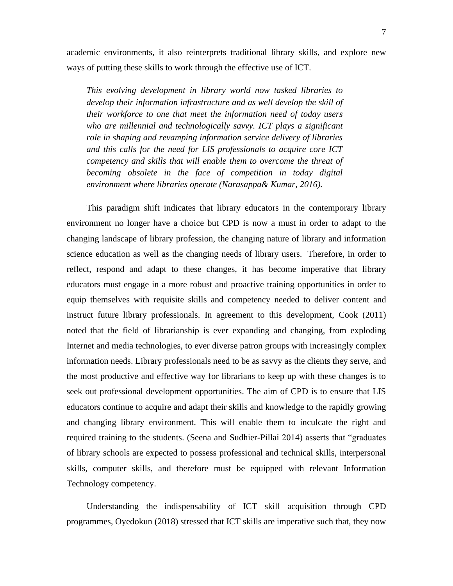academic environments, it also reinterprets traditional library skills, and explore new ways of putting these skills to work through the effective use of ICT.

*This evolving development in library world now tasked libraries to develop their information infrastructure and as well develop the skill of their workforce to one that meet the information need of today users who are millennial and technologically savvy. ICT plays a significant role in shaping and revamping information service delivery of libraries and this calls for the need for LIS professionals to acquire core ICT competency and skills that will enable them to overcome the threat of becoming obsolete in the face of competition in today digital environment where libraries operate (Narasappa& Kumar, 2016).*

This paradigm shift indicates that library educators in the contemporary library environment no longer have a choice but CPD is now a must in order to adapt to the changing landscape of library profession, the changing nature of library and information science education as well as the changing needs of library users. Therefore, in order to reflect, respond and adapt to these changes, it has become imperative that library educators must engage in a more robust and proactive training opportunities in order to equip themselves with requisite skills and competency needed to deliver content and instruct future library professionals. In agreement to this development, Cook (2011) noted that the field of librarianship is ever expanding and changing, from exploding Internet and media technologies, to ever diverse patron groups with increasingly complex information needs. Library professionals need to be as savvy as the clients they serve, and the most productive and effective way for librarians to keep up with these changes is to seek out professional development opportunities. The aim of CPD is to ensure that LIS educators continue to acquire and adapt their skills and knowledge to the rapidly growing and changing library environment. This will enable them to inculcate the right and required training to the students. (Seena and Sudhier-Pillai 2014) asserts that "graduates of library schools are expected to possess professional and technical skills, interpersonal skills, computer skills, and therefore must be equipped with relevant Information Technology competency.

Understanding the indispensability of ICT skill acquisition through CPD programmes, Oyedokun (2018) stressed that ICT skills are imperative such that, they now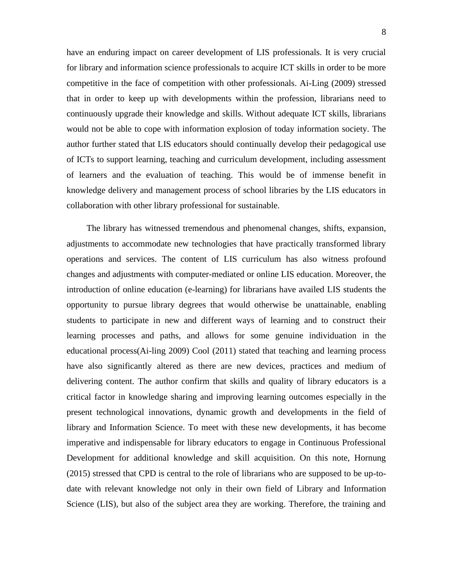have an enduring impact on career development of LIS professionals. It is very crucial for library and information science professionals to acquire ICT skills in order to be more competitive in the face of competition with other professionals. Ai-Ling (2009) stressed that in order to keep up with developments within the profession, librarians need to continuously upgrade their knowledge and skills. Without adequate ICT skills, librarians would not be able to cope with information explosion of today information society. The author further stated that LIS educators should continually develop their pedagogical use of ICTs to support learning, teaching and curriculum development, including assessment of learners and the evaluation of teaching. This would be of immense benefit in knowledge delivery and management process of school libraries by the LIS educators in collaboration with other library professional for sustainable.

The library has witnessed tremendous and phenomenal changes, shifts, expansion, adjustments to accommodate new technologies that have practically transformed library operations and services. The content of LIS curriculum has also witness profound changes and adjustments with computer-mediated or online LIS education. Moreover, the introduction of online education (e-learning) for librarians have availed LIS students the opportunity to pursue library degrees that would otherwise be unattainable, enabling students to participate in new and different ways of learning and to construct their learning processes and paths, and allows for some genuine individuation in the educational process(Ai-ling 2009) Cool (2011) stated that teaching and learning process have also significantly altered as there are new devices, practices and medium of delivering content. The author confirm that skills and quality of library educators is a critical factor in knowledge sharing and improving learning outcomes especially in the present technological innovations, dynamic growth and developments in the field of library and Information Science. To meet with these new developments, it has become imperative and indispensable for library educators to engage in Continuous Professional Development for additional knowledge and skill acquisition. On this note, Hornung (2015) stressed that CPD is central to the role of librarians who are supposed to be up-todate with relevant knowledge not only in their own field of Library and Information Science (LIS), but also of the subject area they are working. Therefore, the training and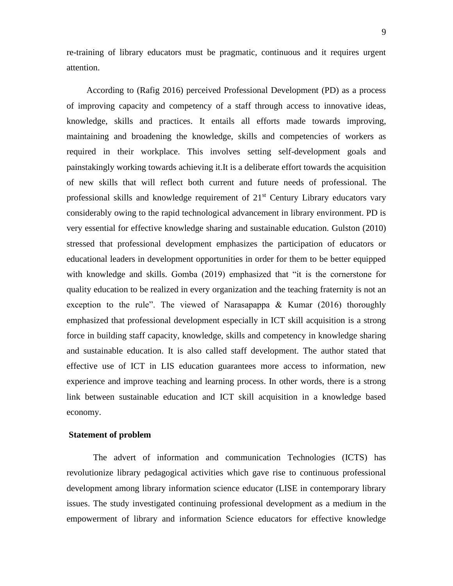re-training of library educators must be pragmatic, continuous and it requires urgent attention.

According to (Rafig 2016) perceived Professional Development (PD) as a process of improving capacity and competency of a staff through access to innovative ideas, knowledge, skills and practices. It entails all efforts made towards improving, maintaining and broadening the knowledge, skills and competencies of workers as required in their workplace. This involves setting self-development goals and painstakingly working towards achieving it.It is a deliberate effort towards the acquisition of new skills that will reflect both current and future needs of professional. The professional skills and knowledge requirement of  $21<sup>st</sup>$  Century Library educators vary considerably owing to the rapid technological advancement in library environment. PD is very essential for effective knowledge sharing and sustainable education. Gulston (2010) stressed that professional development emphasizes the participation of educators or educational leaders in development opportunities in order for them to be better equipped with knowledge and skills. Gomba (2019) emphasized that "it is the cornerstone for quality education to be realized in every organization and the teaching fraternity is not an exception to the rule". The viewed of Narasapappa & Kumar (2016) thoroughly emphasized that professional development especially in ICT skill acquisition is a strong force in building staff capacity, knowledge, skills and competency in knowledge sharing and sustainable education. It is also called staff development. The author stated that effective use of ICT in LIS education guarantees more access to information, new experience and improve teaching and learning process. In other words, there is a strong link between sustainable education and ICT skill acquisition in a knowledge based economy.

#### **Statement of problem**

The advert of information and communication Technologies (ICTS) has revolutionize library pedagogical activities which gave rise to continuous professional development among library information science educator (LISE in contemporary library issues. The study investigated continuing professional development as a medium in the empowerment of library and information Science educators for effective knowledge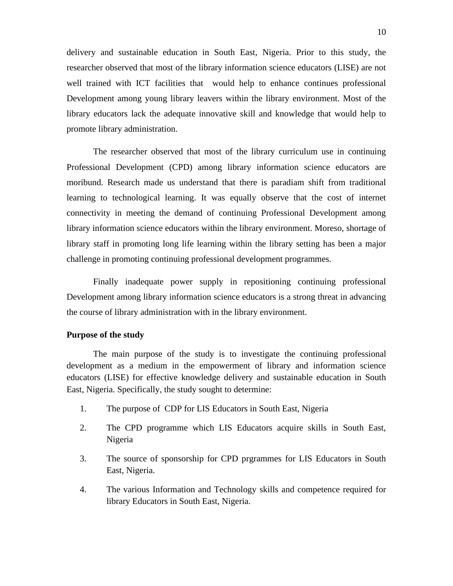delivery and sustainable education in South East, Nigeria. Prior to this study, the researcher observed that most of the library information science educators (LISE) are not well trained with ICT facilities that would help to enhance continues professional Development among young library leavers within the library environment. Most of the library educators lack the adequate innovative skill and knowledge that would help to promote library administration.

The researcher observed that most of the library curriculum use in continuing Professional Development (CPD) among library information science educators are moribund. Research made us understand that there is paradiam shift from traditional learning to technological learning. It was equally observe that the cost of internet connectivity in meeting the demand of continuing Professional Development among library information science educators within the library environment. Moreso, shortage of library staff in promoting long life learning within the library setting has been a major challenge in promoting continuing professional development programmes.

Finally inadequate power supply in repositioning continuing professional Development among library information science educators is a strong threat in advancing the course of library administration with in the library environment.

#### **Purpose of the study**

The main purpose of the study is to investigate the continuing professional development as a medium in the empowerment of library and information science educators (LISE) for effective knowledge delivery and sustainable education in South East, Nigeria. Specifically, the study sought to determine:

- 1. The purpose of CDP for LIS Educators in South East, Nigeria
- 2. The CPD programme which LIS Educators acquire skills in South East, Nigeria
- 3. The source of sponsorship for CPD prgrammes for LIS Educators in South East, Nigeria.
- 4. The various Information and Technology skills and competence required for library Educators in South East, Nigeria.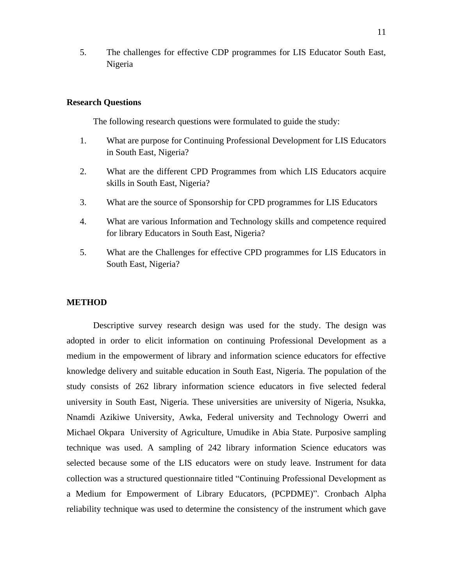5. The challenges for effective CDP programmes for LIS Educator South East, Nigeria

#### **Research Questions**

The following research questions were formulated to guide the study:

- 1. What are purpose for Continuing Professional Development for LIS Educators in South East, Nigeria?
- 2. What are the different CPD Programmes from which LIS Educators acquire skills in South East, Nigeria?
- 3. What are the source of Sponsorship for CPD programmes for LIS Educators
- 4. What are various Information and Technology skills and competence required for library Educators in South East, Nigeria?
- 5. What are the Challenges for effective CPD programmes for LIS Educators in South East, Nigeria?

#### **METHOD**

Descriptive survey research design was used for the study. The design was adopted in order to elicit information on continuing Professional Development as a medium in the empowerment of library and information science educators for effective knowledge delivery and suitable education in South East, Nigeria. The population of the study consists of 262 library information science educators in five selected federal university in South East, Nigeria. These universities are university of Nigeria, Nsukka, Nnamdi Azikiwe University, Awka, Federal university and Technology Owerri and Michael Okpara University of Agriculture, Umudike in Abia State. Purposive sampling technique was used. A sampling of 242 library information Science educators was selected because some of the LIS educators were on study leave. Instrument for data collection was a structured questionnaire titled "Continuing Professional Development as a Medium for Empowerment of Library Educators, (PCPDME)". Cronbach Alpha reliability technique was used to determine the consistency of the instrument which gave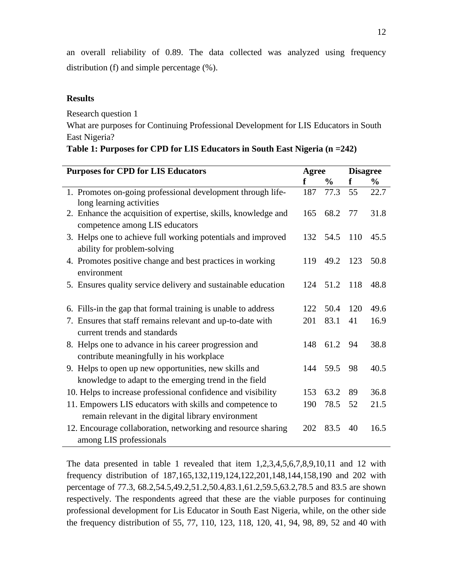an overall reliability of 0.89. The data collected was analyzed using frequency distribution (f) and simple percentage (%).

# **Results**

Research question 1

What are purposes for Continuing Professional Development for LIS Educators in South East Nigeria?

| <b>Purposes for CPD for LIS Educators</b>                                                                      | Agree |               | <b>Disagree</b> |               |
|----------------------------------------------------------------------------------------------------------------|-------|---------------|-----------------|---------------|
|                                                                                                                | f     | $\frac{6}{9}$ | f               | $\frac{6}{9}$ |
| 1. Promotes on-going professional development through life-<br>long learning activities                        | 187   | 77.3          | 55              | 22.7          |
| 2. Enhance the acquisition of expertise, skills, knowledge and<br>competence among LIS educators               | 165   | 68.2          | 77              | 31.8          |
| 3. Helps one to achieve full working potentials and improved<br>ability for problem-solving                    |       | 132 54.5 110  |                 | 45.5          |
| 4. Promotes positive change and best practices in working<br>environment                                       | 119   | 49.2 123      |                 | 50.8          |
| 5. Ensures quality service delivery and sustainable education                                                  |       | 124 51.2 118  |                 | 48.8          |
| 6. Fills-in the gap that formal training is unable to address                                                  | 122   | 50.4          | 120             | 49.6          |
| 7. Ensures that staff remains relevant and up-to-date with<br>current trends and standards                     | 201   | 83.1          | 41              | 16.9          |
| 8. Helps one to advance in his career progression and<br>contribute meaningfully in his workplace              |       | 148 61.2      | 94              | 38.8          |
| 9. Helps to open up new opportunities, new skills and<br>knowledge to adapt to the emerging trend in the field |       | 144 59.5      | 98              | 40.5          |
| 10. Helps to increase professional confidence and visibility                                                   | 153   | 63.2          | 89              | 36.8          |
| 11. Empowers LIS educators with skills and competence to<br>remain relevant in the digital library environment | 190   | 78.5          | 52              | 21.5          |
| 12. Encourage collaboration, networking and resource sharing<br>among LIS professionals                        | 202   | 83.5          | 40              | 16.5          |

| Table 1: Purposes for CPD for LIS Educators in South East Nigeria (n = 242) |  |  |  |
|-----------------------------------------------------------------------------|--|--|--|
|                                                                             |  |  |  |

The data presented in table 1 revealed that item  $1,2,3,4,5,6,7,8,9,10,11$  and 12 with frequency distribution of 187,165,132,119,124,122,201,148,144,158,190 and 202 with percentage of 77.3, 68.2,54.5,49.2,51.2,50.4,83.1,61.2,59.5,63.2,78.5 and 83.5 are shown respectively. The respondents agreed that these are the viable purposes for continuing professional development for Lis Educator in South East Nigeria, while, on the other side the frequency distribution of 55, 77, 110, 123, 118, 120, 41, 94, 98, 89, 52 and 40 with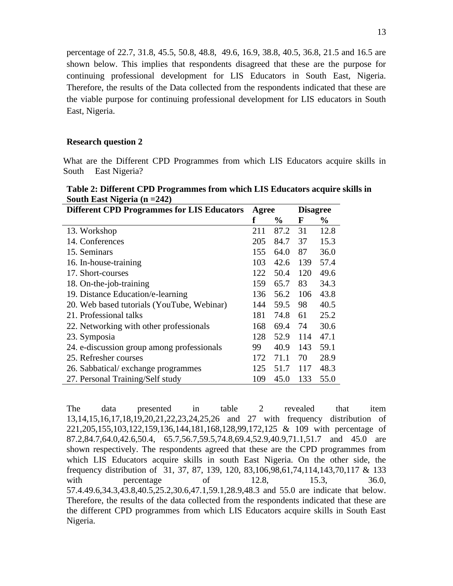percentage of 22.7, 31.8, 45.5, 50.8, 48.8, 49.6, 16.9, 38.8, 40.5, 36.8, 21.5 and 16.5 are shown below. This implies that respondents disagreed that these are the purpose for continuing professional development for LIS Educators in South East, Nigeria. Therefore, the results of the Data collected from the respondents indicated that these are the viable purpose for continuing professional development for LIS educators in South East, Nigeria.

### **Research question 2**

What are the Different CPD Programmes from which LIS Educators acquire skills in South East Nigeria?

| Table 2: Different CPD Programmes from which LIS Educators acquire skills in |  |
|------------------------------------------------------------------------------|--|
| South East Nigeria $(n = 242)$                                               |  |

| <b>Different CPD Programmes for LIS Educators</b> | Agree |               | <b>Disagree</b> |      |
|---------------------------------------------------|-------|---------------|-----------------|------|
|                                                   | f     | $\frac{0}{0}$ | F               | $\%$ |
| 13. Workshop                                      | 211   | 87.2          | 31              | 12.8 |
| 14. Conferences                                   | 205   | 84.7          | 37              | 15.3 |
| 15. Seminars                                      | 155   | 64.0          | 87              | 36.0 |
| 16. In-house-training                             | 103   | 42.6          | 139             | 57.4 |
| 17. Short-courses                                 | 122   | 50.4          | 120             | 49.6 |
| 18. On-the-job-training                           | 159   | 65.7          | 83              | 34.3 |
| 19. Distance Education/e-learning                 | 136   | 56.2          | 106             | 43.8 |
| 20. Web based tutorials (YouTube, Webinar)        | 144   | 59.5          | 98              | 40.5 |
| 21. Professional talks                            | 181   | 74.8          | 61              | 25.2 |
| 22. Networking with other professionals           | 168   | 69.4          | 74              | 30.6 |
| 23. Symposia                                      | 128   | 52.9          | 114             | 47.1 |
| 24. e-discussion group among professionals        | 99    | 40.9          | 143             | 59.1 |
| 25. Refresher courses                             | 172   | 71.1          | 70              | 28.9 |
| 26. Sabbatical/exchange programmes                | 125   | 51.7          | 117             | 48.3 |
| 27. Personal Training/Self study                  | 109   | 45.0          | 133             | 55.0 |

The data presented in table 2 revealed that item 13,14,15,16,17,18,19,20,21,22,23,24,25,26 and 27 with frequency distribution of 221,205,155,103,122,159,136,144,181,168,128,99,172,125 & 109 with percentage of 87.2,84.7,64.0,42.6,50.4, 65.7,56.7,59.5,74.8,69.4,52.9,40.9,71.1,51.7 and 45.0 are shown respectively. The respondents agreed that these are the CPD programmes from which LIS Educators acquire skills in south East Nigeria. On the other side, the frequency distribution of 31, 37, 87, 139, 120, 83,106,98,61,74,114,143,70,117 & 133 with percentage of 12.8, 15.3, 36.0, 57.4.49.6,34.3,43.8,40.5,25.2,30.6,47.1,59.1,28.9,48.3 and 55.0 are indicate that below. Therefore, the results of the data collected from the respondents indicated that these are the different CPD programmes from which LIS Educators acquire skills in South East Nigeria.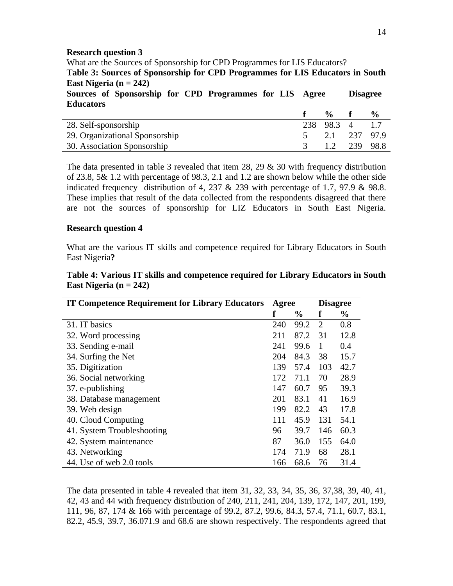### **Research question 3**

What are the Sources of Sponsorship for CPD Programmes for LIS Educators? **Table 3: Sources of Sponsorship for CPD Programmes for LIS Educators in South East Nigeria (n = 242)** 

| $L^{2}$                                                                     |  |            |                 |               |
|-----------------------------------------------------------------------------|--|------------|-----------------|---------------|
| Sources of Sponsorship for CPD Programmes for LIS Agree<br><b>Educators</b> |  |            | <b>Disagree</b> |               |
|                                                                             |  | $\%$ f     |                 | $\frac{6}{9}$ |
| 28. Self-sponsorship                                                        |  | 238 98.3 4 |                 | 17            |
| 29. Organizational Sponsorship                                              |  | 2.1 237    |                 | 97.9          |
| 30. Association Sponsorship                                                 |  | 12         | 239             | 98.8          |

The data presented in table 3 revealed that item 28, 29  $\&$  30 with frequency distribution of 23.8, 5& 1.2 with percentage of 98.3, 2.1 and 1.2 are shown below while the other side indicated frequency distribution of 4, 237 & 239 with percentage of 1.7, 97.9 & 98.8. These implies that result of the data collected from the respondents disagreed that there are not the sources of sponsorship for LIZ Educators in South East Nigeria.

#### **Research question 4**

What are the various IT skills and competence required for Library Educators in South East Nigeria**?**

| Table 4: Various IT skills and competence required for Library Educators in South |  |  |  |
|-----------------------------------------------------------------------------------|--|--|--|
| East Nigeria $(n = 242)$                                                          |  |  |  |

| <b>IT Competence Requirement for Library Educators</b> | Agree |               | <b>Disagree</b> |               |
|--------------------------------------------------------|-------|---------------|-----------------|---------------|
|                                                        | ť     | $\frac{0}{0}$ | f               | $\frac{0}{0}$ |
| 31. IT basics                                          | 240   | 99.2          | 2               | 0.8           |
| 32. Word processing                                    | 211   | 87.2          | 31              | 12.8          |
| 33. Sending e-mail                                     | 241   | 99.6          | $\mathbf{1}$    | 0.4           |
| 34. Surfing the Net                                    | 204   | 84.3          | 38              | 15.7          |
| 35. Digitization                                       | 139   | 57.4          | 103             | 42.7          |
| 36. Social networking                                  | 172   | 71.1          | 70              | 28.9          |
| 37. e-publishing                                       | 147   | 60.7          | 95              | 39.3          |
| 38. Database management                                | 201   | 83.1          | 41              | 16.9          |
| 39. Web design                                         | 199   | 82.2          | 43              | 17.8          |
| 40. Cloud Computing                                    | 111   | 45.9          | 131             | 54.1          |
| 41. System Troubleshooting                             | 96    | 39.7          | 146             | 60.3          |
| 42. System maintenance                                 | 87    | 36.0          | 155             | 64.0          |
| 43. Networking                                         | 174   | 71.9          | 68              | 28.1          |
| 44. Use of web 2.0 tools                               | 166   | 68.6          | 76              | 31.4          |

The data presented in table 4 revealed that item 31, 32, 33, 34, 35, 36, 37,38, 39, 40, 41, 42, 43 and 44 with frequency distribution of 240, 211, 241, 204, 139, 172, 147, 201, 199, 111, 96, 87, 174 & 166 with percentage of 99.2, 87.2, 99.6, 84.3, 57.4, 71.1, 60.7, 83.1, 82.2, 45.9, 39.7, 36.071.9 and 68.6 are shown respectively. The respondents agreed that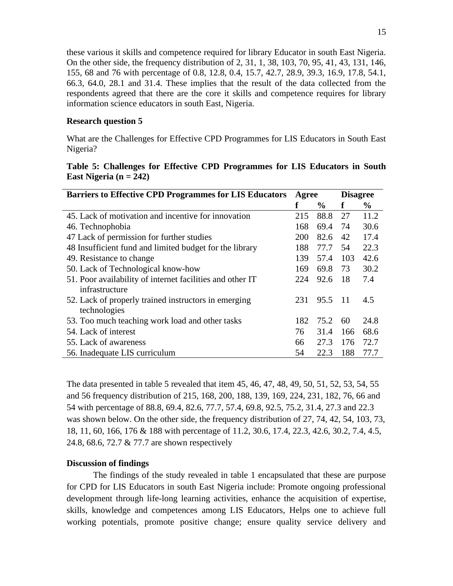these various it skills and competence required for library Educator in south East Nigeria. On the other side, the frequency distribution of 2, 31, 1, 38, 103, 70, 95, 41, 43, 131, 146, 155, 68 and 76 with percentage of 0.8, 12.8, 0.4, 15.7, 42.7, 28.9, 39.3, 16.9, 17.8, 54.1, 66.3, 64.0, 28.1 and 31.4. These implies that the result of the data collected from the respondents agreed that there are the core it skills and competence requires for library information science educators in south East, Nigeria.

# **Research question 5**

What are the Challenges for Effective CPD Programmes for LIS Educators in South East Nigeria?

|                          |  | Table 5: Challenges for Effective CPD Programmes for LIS Educators in South |  |  |  |
|--------------------------|--|-----------------------------------------------------------------------------|--|--|--|
| East Nigeria $(n = 242)$ |  |                                                                             |  |  |  |

| <b>Barriers to Effective CPD Programmes for LIS Educators</b> | Agree |               | <b>Disagree</b> |      |
|---------------------------------------------------------------|-------|---------------|-----------------|------|
|                                                               | f     | $\frac{6}{9}$ | f               | $\%$ |
| 45. Lack of motivation and incentive for innovation           | 215   | 88.8          | 27              | 11.2 |
| 46. Technophobia                                              | 168   | 69.4          | 74              | 30.6 |
| 47 Lack of permission for further studies                     | 200   | 82.6          | 42              | 17.4 |
| 48 Insufficient fund and limited budget for the library       | 188   | 77.7          | 54              | 22.3 |
| 49. Resistance to change                                      | 139   | 57.4          | 103             | 42.6 |
| 50. Lack of Technological know-how                            | 169   | 69.8          | 73              | 30.2 |
| 51. Poor availability of internet facilities and other IT     |       | 92.6          | -18             | 7.4  |
| infrastructure                                                |       |               |                 |      |
| 52. Lack of properly trained instructors in emerging          | 231   | 95.5          | -11             | 4.5  |
| technologies                                                  |       |               |                 |      |
| 53. Too much teaching work load and other tasks               | 182   | 75.2          | 60              | 24.8 |
| 54. Lack of interest                                          | 76    | 31.4          | 166             | 68.6 |
| 55. Lack of awareness                                         | 66    | 27.3          | 176             | 72.7 |
| 56. Inadequate LIS curriculum                                 | 54    | 22.3          | 188             | 77.7 |

The data presented in table 5 revealed that item 45, 46, 47, 48, 49, 50, 51, 52, 53, 54, 55 and 56 frequency distribution of 215, 168, 200, 188, 139, 169, 224, 231, 182, 76, 66 and 54 with percentage of 88.8, 69.4, 82.6, 77.7, 57.4, 69.8, 92.5, 75.2, 31.4, 27.3 and 22.3 was shown below. On the other side, the frequency distribution of 27, 74, 42, 54, 103, 73, 18, 11, 60, 166, 176 & 188 with percentage of 11.2, 30.6, 17.4, 22.3, 42.6, 30.2, 7.4, 4.5, 24.8, 68.6, 72.7 & 77.7 are shown respectively

# **Discussion of findings**

The findings of the study revealed in table 1 encapsulated that these are purpose for CPD for LIS Educators in south East Nigeria include: Promote ongoing professional development through life-long learning activities, enhance the acquisition of expertise, skills, knowledge and competences among LIS Educators, Helps one to achieve full working potentials, promote positive change; ensure quality service delivery and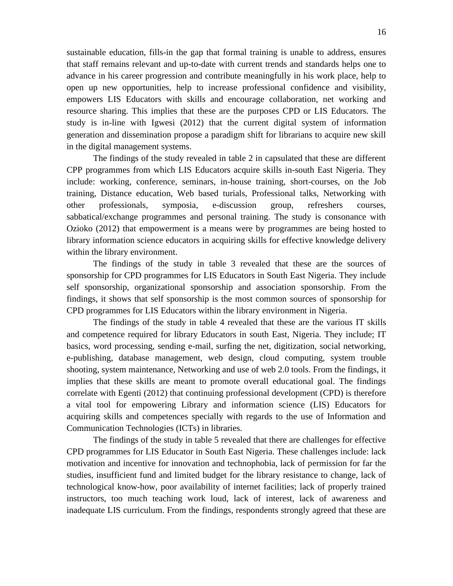sustainable education, fills-in the gap that formal training is unable to address, ensures that staff remains relevant and up-to-date with current trends and standards helps one to advance in his career progression and contribute meaningfully in his work place, help to open up new opportunities, help to increase professional confidence and visibility, empowers LIS Educators with skills and encourage collaboration, net working and resource sharing. This implies that these are the purposes CPD or LIS Educators. The study is in-line with Igwesi (2012) that the current digital system of information generation and dissemination propose a paradigm shift for librarians to acquire new skill in the digital management systems.

The findings of the study revealed in table 2 in capsulated that these are different CPP programmes from which LIS Educators acquire skills in-south East Nigeria. They include: working, conference, seminars, in-house training, short-courses, on the Job training, Distance education, Web based turials, Professional talks, Networking with other professionals, symposia, e-discussion group, refreshers courses, sabbatical/exchange programmes and personal training. The study is consonance with Ozioko (2012) that empowerment is a means were by programmes are being hosted to library information science educators in acquiring skills for effective knowledge delivery within the library environment.

The findings of the study in table 3 revealed that these are the sources of sponsorship for CPD programmes for LIS Educators in South East Nigeria. They include self sponsorship, organizational sponsorship and association sponsorship. From the findings, it shows that self sponsorship is the most common sources of sponsorship for CPD programmes for LIS Educators within the library environment in Nigeria.

The findings of the study in table 4 revealed that these are the various IT skills and competence required for library Educators in south East, Nigeria. They include; IT basics, word processing, sending e-mail, surfing the net, digitization, social networking, e-publishing, database management, web design, cloud computing, system trouble shooting, system maintenance, Networking and use of web 2.0 tools. From the findings, it implies that these skills are meant to promote overall educational goal. The findings correlate with Egenti (2012) that continuing professional development (CPD) is therefore a vital tool for empowering Library and information science (LIS) Educators for acquiring skills and competences specially with regards to the use of Information and Communication Technologies (ICTs) in libraries.

The findings of the study in table 5 revealed that there are challenges for effective CPD programmes for LIS Educator in South East Nigeria. These challenges include: lack motivation and incentive for innovation and technophobia, lack of permission for far the studies, insufficient fund and limited budget for the library resistance to change, lack of technological know-how, poor availability of internet facilities; lack of properly trained instructors, too much teaching work loud, lack of interest, lack of awareness and inadequate LIS curriculum. From the findings, respondents strongly agreed that these are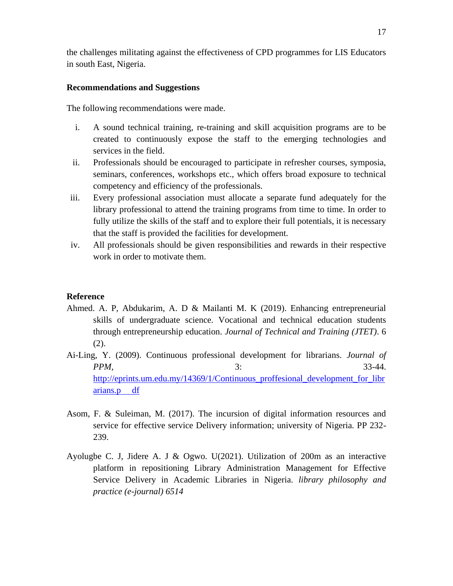the challenges militating against the effectiveness of CPD programmes for LIS Educators in south East, Nigeria.

# **Recommendations and Suggestions**

The following recommendations were made.

- i. A sound technical training, re-training and skill acquisition programs are to be created to continuously expose the staff to the emerging technologies and services in the field.
- ii. Professionals should be encouraged to participate in refresher courses, symposia, seminars, conferences, workshops etc., which offers broad exposure to technical competency and efficiency of the professionals.
- iii. Every professional association must allocate a separate fund adequately for the library professional to attend the training programs from time to time. In order to fully utilize the skills of the staff and to explore their full potentials, it is necessary that the staff is provided the facilities for development.
- iv. All professionals should be given responsibilities and rewards in their respective work in order to motivate them.

# **Reference**

- Ahmed. A. P, Abdukarim, A. D & Mailanti M. K (2019). Enhancing entrepreneurial skills of undergraduate science. Vocational and technical education students through entrepreneurship education. *Journal of Technical and Training (JTET)*. 6 (2).
- Ai-Ling, Y. (2009). Continuous professional development for librarians. *Journal of PPM*, 3: 33-44. [http://eprints.um.edu.my/14369/1/Continuous\\_proffesional\\_development\\_for\\_libr](http://eprints.um.edu.my/14369/1/Continuous_proffesional_development_for_librarians.p%20%20%20%20%20df) [arians.p df](http://eprints.um.edu.my/14369/1/Continuous_proffesional_development_for_librarians.p%20%20%20%20%20df)
- Asom, F. & Suleiman, M. (2017). The incursion of digital information resources and service for effective service Delivery information; university of Nigeria. PP 232- 239.
- Ayolugbe C. J, Jidere A. J & Ogwo. U(2021). Utilization of 200m as an interactive platform in repositioning Library Administration Management for Effective Service Delivery in Academic Libraries in Nigeria. *library philosophy and practice (e-journal) 6514*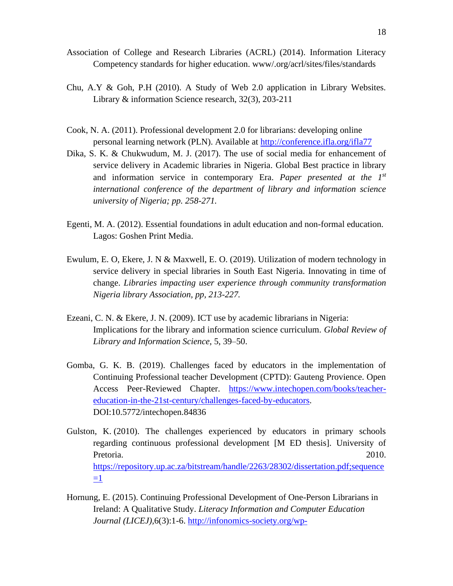- Association of College and Research Libraries (ACRL) (2014). Information Literacy Competency standards for higher education. www/.org/acrl/sites/files/standards
- Chu, A.Y & Goh, P.H (2010). A Study of Web 2.0 application in Library Websites. Library & information Science research, 32(3), 203-211
- Cook, N. A. (2011). Professional development 2.0 for librarians: developing online personal learning network (PLN). Available at<http://conference.ifla.org/ifla77>
- Dika, S. K. & Chukwudum, M. J. (2017). The use of social media for enhancement of service delivery in Academic libraries in Nigeria. Global Best practice in library and information service in contemporary Era. *Paper presented at the 1st international conference of the department of library and information science university of Nigeria; pp. 258-271.*
- Egenti, M. A. (2012). Essential foundations in adult education and non-formal education. Lagos: Goshen Print Media.
- Ewulum, E. O, Ekere, J. N & Maxwell, E. O. (2019). Utilization of modern technology in service delivery in special libraries in South East Nigeria. Innovating in time of change. *Libraries impacting user experience through community transformation Nigeria library Association, pp, 213-227.*
- Ezeani, C. N. & Ekere, J. N. (2009). ICT use by academic librarians in Nigeria: Implications for the library and information science curriculum. *Global Review of Library and Information Science*, 5, 39–50.
- Gomba, G. K. B. (2019). Challenges faced by educators in the implementation of Continuing Professional teacher Development (CPTD): Gauteng Provience. Open Access Peer-Reviewed Chapter. [https://www.intechopen.com/books/teacher](https://www.intechopen.com/books/teacher-education-in-the-21st-century/challenges-faced-by-educators)[education-in-the-21st-century/challenges-faced-by-educators.](https://www.intechopen.com/books/teacher-education-in-the-21st-century/challenges-faced-by-educators) DOI:10.5772/intechopen.84836
- Gulston, K. (2010). The challenges experienced by educators in primary schools regarding continuous professional development [M ED thesis]. University of Pretoria. 2010. [https://repository.up.ac.za/bitstream/handle/2263/28302/dissertation.pdf;sequence](https://repository.up.ac.za/bitstream/handle/2263/28302/dissertation.pdf;sequence=1)  $=1$
- Hornung, E. (2015). Continuing Professional Development of One-Person Librarians in Ireland: A Qualitative Study. *Literacy Information and Computer Education Journal (LICEJ),*6(3):1-6. [http://infonomics-society.org/wp-](http://infonomics-society.org/wp-content/uploads/licej/published-papers/volume-6-2015/Continuing-Professional-Development-of-One-Person-Librarians-in-Ireland-A-Qualitative-Study.pdf)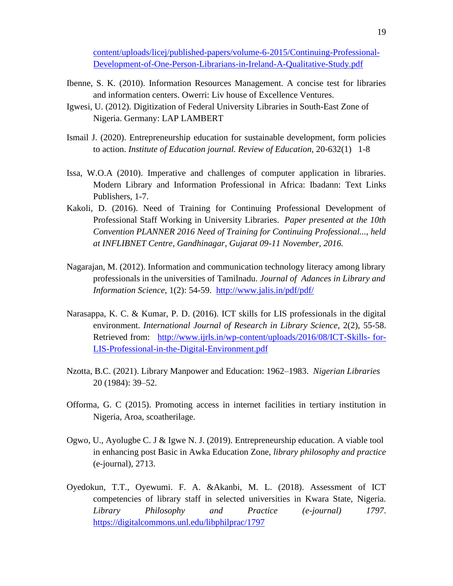[content/uploads/licej/published-papers/volume-6-2015/Continuing-Professional-](http://infonomics-society.org/wp-content/uploads/licej/published-papers/volume-6-2015/Continuing-Professional-Development-of-One-Person-Librarians-in-Ireland-A-Qualitative-Study.pdf)[Development-of-One-Person-Librarians-in-Ireland-A-Qualitative-Study.pdf](http://infonomics-society.org/wp-content/uploads/licej/published-papers/volume-6-2015/Continuing-Professional-Development-of-One-Person-Librarians-in-Ireland-A-Qualitative-Study.pdf)

- Ibenne, S. K. (2010). Information Resources Management. A concise test for libraries and information centers. Owerri: Liv house of Excellence Ventures.
- Igwesi, U. (2012). Digitization of Federal University Libraries in South-East Zone of Nigeria. Germany: LAP LAMBERT
- Ismail J. (2020). Entrepreneurship education for sustainable development, form policies to action. *Institute of Education journal. Review of Education,* 20-632(1) 1-8
- Issa, W.O.A (2010). Imperative and challenges of computer application in libraries. Modern Library and Information Professional in Africa: Ibadann: Text Links Publishers, 1-7.
- Kakoli, D. (2016). Need of Training for Continuing Professional Development of Professional Staff Working in University Libraries. *Paper presented at the 10th Convention PLANNER 2016 Need of Training for Continuing Professional..., held at INFLIBNET Centre, Gandhinagar, Gujarat 09-11 November, 2016.*
- Nagarajan, M. (2012). Information and communication technology literacy among library professionals in the universities of Tamilnadu. *Journal of Adances in Library and Information Science*, 1(2): 54-59. <http://www.jalis.in/pdf/pdf/>
- Narasappa, K. C. & Kumar, P. D. (2016). ICT skills for LIS professionals in the digital environment. *International Journal of Research in Library Science*, 2(2), 55-58. Retrieved from: [http://www.ijrls.in/wp-content/uploads/2016/08/ICT-Skills-](http://www.ijrls.in/wp-content/uploads/2016/08/ICT-Skills-%20for-LIS-Professional-in-the-Digital-Environment.pdf) for-[LIS-Professional-in-the-Digital-Environment.pdf](http://www.ijrls.in/wp-content/uploads/2016/08/ICT-Skills-%20for-LIS-Professional-in-the-Digital-Environment.pdf)
- Nzotta, B.C. (2021). Library Manpower and Education: 1962–1983. *Nigerian Libraries* 20 (1984): 39–52.
- Offorma, G. C (2015). Promoting access in internet facilities in tertiary institution in Nigeria, Aroa, scoatherilage.
- Ogwo, U., Ayolugbe C. J & Igwe N. J. (2019). Entrepreneurship education. A viable tool in enhancing post Basic in Awka Education Zone, *library philosophy and practice*  (e-journal), 2713.
- Oyedokun, T.T., Oyewumi. F. A. &Akanbi, M. L. (2018). Assessment of ICT competencies of library staff in selected universities in Kwara State, Nigeria. *Library Philosophy and Practice (e-journal) 1797*. <https://digitalcommons.unl.edu/libphilprac/1797>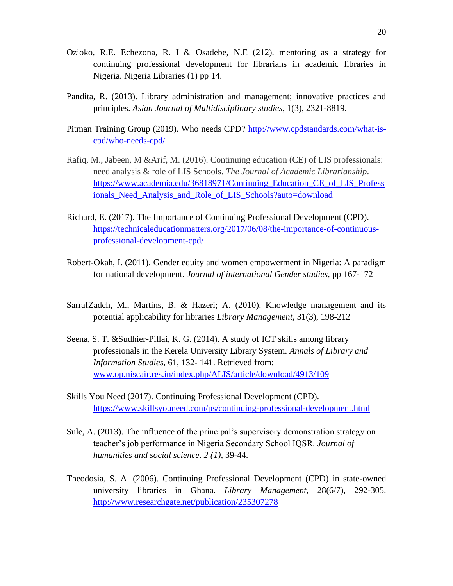- Ozioko, R.E. Echezona, R. I & Osadebe, N.E (212). mentoring as a strategy for continuing professional development for librarians in academic libraries in Nigeria. Nigeria Libraries (1) pp 14.
- Pandita, R. (2013). Library administration and management; innovative practices and principles. *Asian Journal of Multidisciplinary studies,* 1(3), 2321-8819.
- Pitman Training Group (2019). Who needs CPD? [http://www.cpdstandards.com/what-is](http://www.cpdstandards.com/what-is-cpd/who-needs-cpd/)[cpd/who-needs-cpd/](http://www.cpdstandards.com/what-is-cpd/who-needs-cpd/)
- Rafiq, M., Jabeen, M &Arif, M. (2016). Continuing education (CE) of LIS professionals: need analysis & role of LIS Schools. *The Journal of Academic Librarianship*. [https://www.academia.edu/36818971/Continuing\\_Education\\_CE\\_of\\_LIS\\_Profess](https://www.academia.edu/36818971/Continuing_Education_CE_of_LIS_Professionals_Need_Analysis_and_Role_of_LIS_Schools?auto=download) [ionals\\_Need\\_Analysis\\_and\\_Role\\_of\\_LIS\\_Schools?auto=download](https://www.academia.edu/36818971/Continuing_Education_CE_of_LIS_Professionals_Need_Analysis_and_Role_of_LIS_Schools?auto=download)
- Richard, E. (2017). The Importance of Continuing Professional Development (CPD). [https://technicaleducationmatters.org/2017/06/08/the-importance-of-continuous](https://technicaleducationmatters.org/2017/06/08/the-importance-of-continuous-professional-development-cpd/)[professional-development-cpd/](https://technicaleducationmatters.org/2017/06/08/the-importance-of-continuous-professional-development-cpd/)
- Robert-Okah, I. (2011). Gender equity and women empowerment in Nigeria: A paradigm for national development. *Journal of international Gender studies*, pp 167-172
- SarrafZadch, M., Martins, B. & Hazeri; A. (2010). Knowledge management and its potential applicability for libraries *Library Management,* 31(3), 198-212
- Seena, S. T. &Sudhier-Pillai, K. G. (2014). A study of ICT skills among library professionals in the Kerela University Library System. *Annals of Library and Information Studies,* 61, 132- 141. Retrieved from: [www.op.niscair.res.in/index.php/ALIS/article/download/4913/109](http://www.op.niscair.res.in/index.php/ALIS/article/download/4913/109)
- Skills You Need (2017). Continuing Professional Development (CPD). <https://www.skillsyouneed.com/ps/continuing-professional-development.html>
- Sule, A. (2013). The influence of the principal's supervisory demonstration strategy on teacher's job performance in Nigeria Secondary School IQSR. *Journal of humanities and social science*. *2 (1),* 39-44.
- Theodosia, S. A. (2006). Continuing Professional Development (CPD) in state-owned university libraries in Ghana. *Library Management*, 28(6/7), 292-305. <http://www.researchgate.net/publication/235307278>